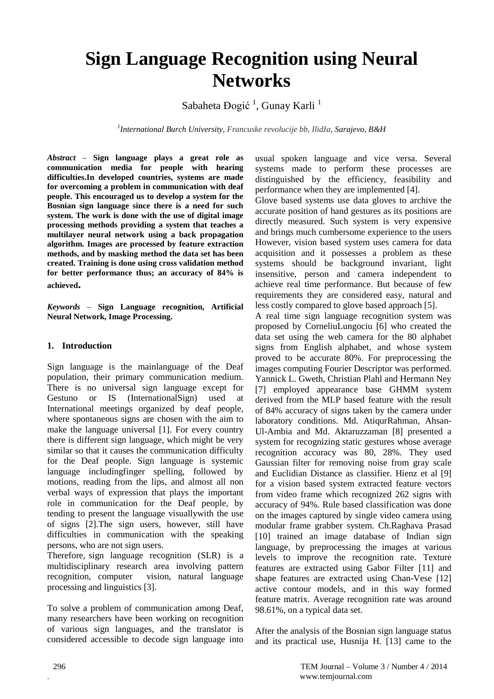# **Sign Language Recognition using Neural Networks**

Sabaheta Đogić<sup>1</sup>, Gunay Karli<sup>1</sup>

*1 International Burch University, Francuske revolucije bb, Ilidža, Sarajevo, B&H*

*Abstract* – **Sign language plays a great role as communication media for people with hearing difficulties.In developed countries, systems are made for overcoming a problem in communication with deaf people. This encouraged us to develop a system for the Bosnian sign language since there is a need for such system. The work is done with the use of digital image processing methods providing a system that teaches a multilayer neural network using a back propagation algorithm. Images are processed by feature extraction methods, and by masking method the data set has been created. Training is done using cross validation method for better performance thus; an accuracy of 84% is achieved.**

*Keywords –* **Sign Language recognition, Artificial Neural Network, Image Processing.**

#### **1. Introduction**

Sign language is the mainlanguage of the Deaf population, their primary communication medium. There is no universal sign language except for Gestuno or IS (InternationalSign) used at International meetings organized by deaf people, where spontaneous signs are chosen with the aim to make the language universal [1]. For every country there is different sign language, which might be very similar so that it causes the communication difficulty for the Deaf people. Sign language is systemic language includingfinger spelling, followed by motions, reading from the lips, and almost all non verbal ways of expression that plays the important role in communication for the Deaf people, by tending to present the language visuallywith the use of signs [2].The sign users, however, still have difficulties in communication with the speaking persons, who are not sign users.

Therefore, sign language recognition (SLR) is a multidisciplinary research area involving pattern recognition, computer vision, natural language processing and linguistics [3].

To solve a problem of communication among Deaf, many researchers have been working on recognition of various sign languages, and the translator is considered accessible to decode sign language into usual spoken language and vice versa. Several systems made to perform these processes are distinguished by the efficiency, feasibility and performance when they are implemented [4].

Glove based systems use data gloves to archive the accurate position of hand gestures as its positions are directly measured. Such system is very expensive and brings much cumbersome experience to the users However, vision based system uses camera for data acquisition and it possesses a problem as these systems should be background invariant, light insensitive, person and camera independent to achieve real time performance. But because of few requirements they are considered easy, natural and less costly compared to glove based approach [5].

A real time sign language recognition system was proposed by CorneliuLungociu [6] who created the data set using the web camera for the 80 alphabet signs from English alphabet, and whose system proved to be accurate 80%. For preprocessing the images computing Fourier Descriptor was performed. Yannick L. Gweth, Christian Plahl and Hermann Ney [7] employed appearance base GHMM system derived from the MLP based feature with the result of 84% accuracy of signs taken by the camera under laboratory conditions. Md. AtiqurRahman, Ahsan-Ul-Ambia and Md. Aktaruzzaman [8] presented a system for recognizing static gestures whose average recognition accuracy was 80, 28%. They used Gaussian filter for removing noise from gray scale and Euclidian Distance as classifier. Hienz et al [9] for a vision based system extracted feature vectors from video frame which recognized 262 signs with accuracy of 94%. Rule based classification was done on the images captured by single video camera using modular frame grabber system. Ch.Raghava Prasad [10] trained an image database of Indian sign language, by preprocessing the images at various levels to improve the recognition rate. Texture features are extracted using Gabor Filter [11] and shape features are extracted using Chan-Vese [12] active contour models, and in this way formed feature matrix. Average recognition rate was around 98.61%, on a typical data set.

After the analysis of the Bosnian sign language status and its practical use, Husnija H. [13] came to the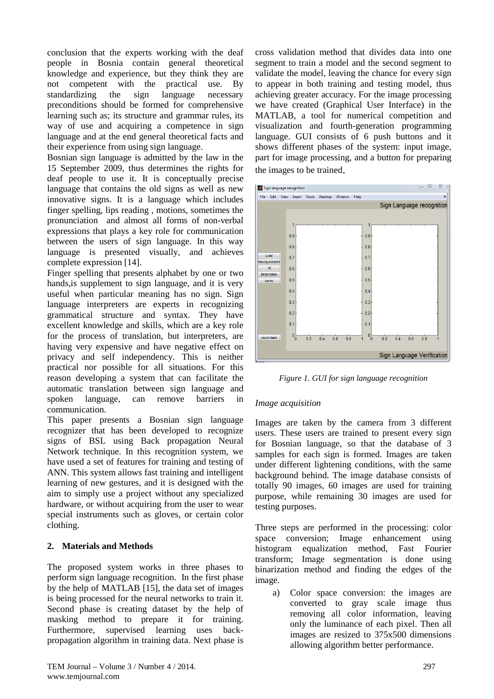conclusion that the experts working with the deaf people in Bosnia contain general theoretical knowledge and experience, but they think they are not competent with the practical use. By standardizing the sign language necessary preconditions should be formed for comprehensive learning such as; its structure and grammar rules, its way of use and acquiring a competence in sign language and at the end general theoretical facts and their experience from using sign language.

Bosnian sign language is admitted by the law in the 15 September 2009, thus determines the rights for deaf people to use it. It is conceptually precise language that contains the old signs as well as new innovative signs. It is a language which includes finger spelling, lips reading , motions, sometimes the pronunciation and almost all forms of non-verbal expressions that plays a key role for communication between the users of sign language. In this way language is presented visually, and achieves complete expression [14].

Finger spelling that presents alphabet by one or two hands,is supplement to sign language, and it is very useful when particular meaning has no sign. Sign language interpreters are experts in recognizing grammatical structure and syntax. They have excellent knowledge and skills, which are a key role for the process of translation, but interpreters, are having very expensive and have negative effect on privacy and self independency. This is neither practical nor possible for all situations. For this reason developing a system that can facilitate the automatic translation between sign language and spoken language, can remove barriers in communication.

This paper presents a Bosnian sign language recognizer that has been developed to recognize signs of BSL using Back propagation Neural Network technique. In this recognition system, we have used a set of features for training and testing of ANN. This system allows fast training and intelligent learning of new gestures, and it is designed with the aim to simply use a project without any specialized hardware, or without acquiring from the user to wear special instruments such as gloves, or certain color clothing.

## **2. Materials and Methods**

The proposed system works in three phases to perform sign language recognition. In the first phase by the help of MATLAB [15], the data set of images is being processed for the neural networks to train it. Second phase is creating dataset by the help of masking method to prepare it for training. Furthermore, supervised learning uses backpropagation algorithm in training data. Next phase is

cross validation method that divides data into one segment to train a model and the second segment to validate the model, leaving the chance for every sign to appear in both training and testing model, thus achieving greater accuracy. For the image processing we have created (Graphical User Interface) in the MATLAB, a tool for numerical competition and visualization and fourth-generation programming language. GUI consists of 6 push buttons and it shows different phases of the system: input image, part for image processing, and a button for preparing the images to be trained.



*Figure 1. GUI for sign language recognition*

#### *Image acquisition*

Images are taken by the camera from 3 different users. These users are trained to present every sign for Bosnian language, so that the database of 3 samples for each sign is formed. Images are taken under different lightening conditions, with the same background behind. The image database consists of totally 90 images, 60 images are used for training purpose, while remaining 30 images are used for testing purposes.

Three steps are performed in the processing: color space conversion; Image enhancement using histogram equalization method, Fast Fourier transform; Image segmentation is done using binarization method and finding the edges of the image.

a) Color space conversion: the images are converted to gray scale image thus removing all color information, leaving only the luminance of each pixel. Then all images are resized to 375x500 dimensions allowing algorithm better performance.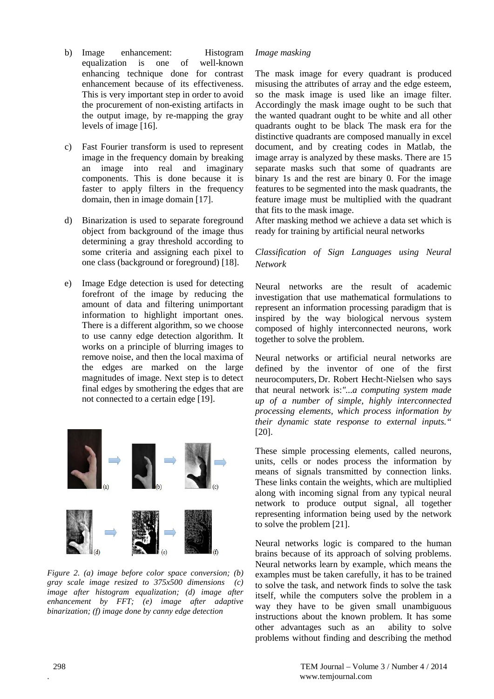- b) Image enhancement: Histogram equalization is one of well-known enhancing technique done for contrast enhancement because of its effectiveness. This is very important step in order to avoid the procurement of non-existing artifacts in the output image, by re-mapping the gray levels of image [16].
- c) Fast Fourier transform is used to represent image in the frequency domain by breaking an image into real and imaginary components. This is done because it is faster to apply filters in the frequency domain, then in image domain [17].
- d) Binarization is used to separate foreground object from background of the image thus determining a gray threshold according to some criteria and assigning each pixel to one class (background or foreground) [18].
- e) Image Edge detection is used for detecting forefront of the image by reducing the amount of data and filtering unimportant information to highlight important ones. There is a different algorithm, so we choose to use canny edge detection algorithm. It works on a principle of blurring images to remove noise, and then the local maxima of the edges are marked on the large magnitudes of image. Next step is to detect final edges by smothering the edges that are not connected to a certain edge [19].



*Figure 2. (a) image before color space conversion; (b) gray scale image resized to 375x500 dimensions (c) image after histogram equalization; (d) image after enhancement by FFT; (e) image after adaptive binarization; (f) image done by canny edge detection*

### *Image masking*

The mask image for every quadrant is produced misusing the attributes of array and the edge esteem, so the mask image is used like an image filter. Accordingly the mask image ought to be such that the wanted quadrant ought to be white and all other quadrants ought to be black The mask era for the distinctive quadrants are composed manually in excel document, and by creating codes in Matlab, the image array is analyzed by these masks. There are 15 separate masks such that some of quadrants are binary 1s and the rest are binary 0. For the image features to be segmented into the mask quadrants, the feature image must be multiplied with the quadrant that fits to the mask image.

After masking method we achieve a data set which is ready for training by artificial neural networks

### *Classification of Sign Languages using Neural Network*

Neural networks are the result of academic investigation that use mathematical formulations to represent an information processing paradigm that is inspired by the way biological nervous system composed of highly interconnected neurons, work together to solve the problem.

Neural networks or artificial neural networks are defined by the inventor of one of the first neurocomputers, Dr. Robert Hecht-Nielsen who says that neural network is:*"...a computing system made up of a number of simple, highly interconnected processing elements, which process information by their dynamic state response to external inputs."*  [20].

These simple processing elements, called neurons, units, cells or nodes process the information by means of signals transmitted by connection links. These links contain the weights, which are multiplied along with incoming signal from any typical neural network to produce output signal, all together representing information being used by the network to solve the problem [21].

Neural networks logic is compared to the human brains because of its approach of solving problems. Neural networks learn by example, which means the examples must be taken carefully, it has to be trained to solve the task, and network finds to solve the task itself, while the computers solve the problem in a way they have to be given small unambiguous instructions about the known problem. It has some other advantages such as an ability to solve problems without finding and describing the method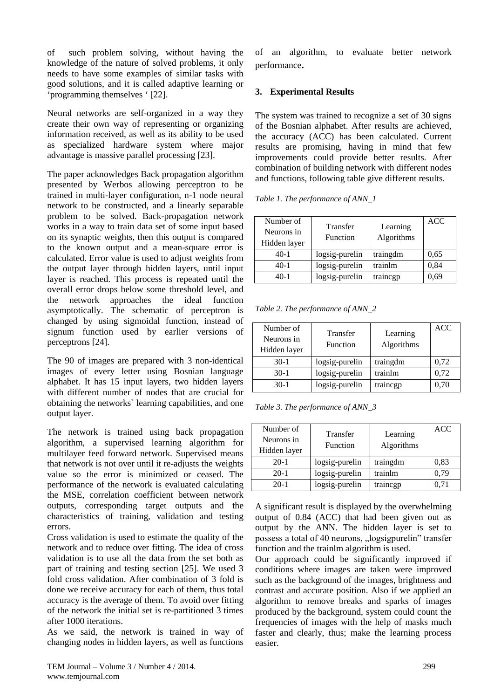of such problem solving, without having the knowledge of the nature of solved problems, it only needs to have some examples of similar tasks with good solutions, and it is called adaptive learning or 'programming themselves ' [22].

Neural networks are self-organized in a way they create their own way of representing or organizing information received, as well as its ability to be used as specialized hardware system where major advantage is massive parallel processing [23].

The paper acknowledges Back propagation algorithm presented by Werbos allowing perceptron to be trained in multi-layer configuration, n-1 node neural network to be constructed, and a linearly separable problem to be solved. Back-propagation network works in a way to train data set of some input based on its synaptic weights, then this output is compared to the known output and a mean-square error is calculated. Error value is used to adjust weights from the output layer through hidden layers, until input layer is reached. This process is repeated until the overall error drops below some threshold level, and the network approaches the ideal function asymptotically. The schematic of perceptron is changed by using sigmoidal function, instead of signum function used by earlier versions of perceptrons [24].

The 90 of images are prepared with 3 non-identical images of every letter using Bosnian language alphabet. It has 15 input layers, two hidden layers with different number of nodes that are crucial for obtaining the networks` learning capabilities, and one output layer.

The network is trained using back propagation algorithm, a supervised learning algorithm for multilayer feed forward network. Supervised means that network is not over until it re-adjusts the weights value so the error is minimized or ceased. The performance of the network is evaluated calculating the MSE, correlation coefficient between network outputs, corresponding target outputs and the characteristics of training, validation and testing errors.

Cross validation is used to estimate the quality of the network and to reduce over fitting. The idea of cross validation is to use all the data from the set both as part of training and testing section [25]. We used 3 fold cross validation. After combination of 3 fold is done we receive accuracy for each of them, thus total accuracy is the average of them. To avoid over fitting of the network the initial set is re-partitioned 3 times after 1000 iterations.

As we said, the network is trained in way of changing nodes in hidden layers, as well as functions

of an algorithm, to evaluate better network performance.

## **3. Experimental Results**

The system was trained to recognize a set of 30 signs of the Bosnian alphabet. After results are achieved, the accuracy (ACC) has been calculated. Current results are promising, having in mind that few improvements could provide better results. After combination of building network with different nodes and functions, following table give different results.

*Table 1. The performance of ANN\_1*

| Number of<br>Neurons in<br>Hidden layer | Transfer<br>Function | Learning<br>Algorithms | ACC  |
|-----------------------------------------|----------------------|------------------------|------|
| $40-1$                                  | logsig-purelin       | traingdm               | 0,65 |
| $40-1$                                  | logsig-purelin       | trainlm                | 0,84 |
| $40-1$                                  | logsig-purelin       | traincgp               | 0,69 |

*Table 2. The performance of ANN\_2*

| Number of<br>Neurons in<br>Hidden layer | Transfer<br>Function | Learning<br>Algorithms | <b>ACC</b> |
|-----------------------------------------|----------------------|------------------------|------------|
| $30-1$                                  | logsig-purelin       | traingdm               | 0,72       |
| $30-1$                                  | logsig-purelin       | trainlm                | 0,72       |
| $30-1$                                  | logsig-purelin       | traincgp               | 0,70       |

*Table 3. The performance of ANN\_3*

| Number of<br>Neurons in<br>Hidden layer | Transfer<br>Function | Learning<br>Algorithms | <b>ACC</b> |
|-----------------------------------------|----------------------|------------------------|------------|
| $20-1$                                  | logsig-purelin       | traingdm               | 0,83       |
| $20-1$                                  | logsig-purelin       | trainlm                | 0,79       |
| $20-1$                                  | logsig-purelin       | traincgp               | 0.71       |

A significant result is displayed by the overwhelming output of 0.84 (ACC) that had been given out as output by the ANN. The hidden layer is set to possess a total of 40 neurons, "logsigpurelin" transfer function and the trainlm algorithm is used.

Our approach could be significantly improved if conditions where images are taken were improved such as the background of the images, brightness and contrast and accurate position. Also if we applied an algorithm to remove breaks and sparks of images produced by the background, system could count the frequencies of images with the help of masks much faster and clearly, thus; make the learning process easier.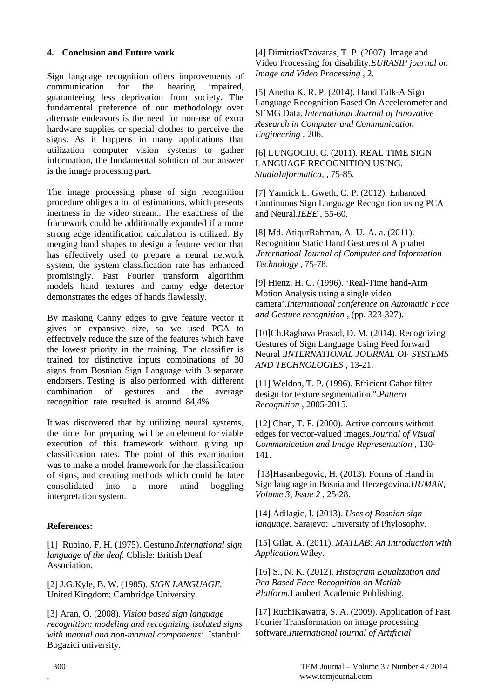### **4. Conclusion and Future work**

Sign language recognition offers improvements of communication for the hearing impaired, guaranteeing less deprivation from society. The fundamental preference of our methodology over alternate endeavors is the need for non-use of extra hardware supplies or special clothes to perceive the signs. As it happens in many applications that utilization computer vision systems to gather information, the fundamental solution of our answer is the image processing part.

The image processing phase of sign recognition procedure obliges a lot of estimations, which presents inertness in the video stream.. The exactness of the framework could be additionally expanded if a more strong edge identification calculation is utilized. By merging hand shapes to design a feature vector that has effectively used to prepare a neural network system, the system classification rate has enhanced promisingly. Fast Fourier transform algorithm models hand textures and canny edge detector demonstrates the edges of hands flawlessly.

By masking Canny edges to give feature vector it gives an expansive size, so we used PCA to effectively reduce the size of the features which have the lowest priority in the training. The classifier is trained for distinctive inputs combinations of 30 signs from Bosnian Sign Language with 3 separate endorsers. Testing is also performed with different combination of gestures and the average recognition rate resulted is around 84,4%.

It was discovered that by utilizing neural systems, the time for preparing will be an element for viable execution of this framework without giving up classification rates. The point of this examination was to make a model framework for the classification of signs, and creating methods which could be later consolidated into a more mind boggling interpretation system.

#### **References:**

[1] Rubino, F. H. (1975). Gestuno.*International sign language of the deaf.* Cblisle: British Deaf Association.

[2] J.G.Kyle, B. W. (1985). *SIGN LANGUAGE.* United Kingdom: Cambridge University.

[3] Aran, O. (2008). *Vision based sign language recognition: modeling and recognizing isolated signs with manual and non-manual components'.* Istanbul: Bogazici university.

[4] DimitriosTzovaras, T. P. (2007). Image and Video Processing for disability.*EURASIP journal on Image and Video Processing* , 2.

[5] Anetha K, R. P. (2014). Hand Talk-A Sign Language Recognition Based On Accelerometer and SEMG Data. *International Journal of Innovative Research in Computer and Communication Engineering* , 206.

[6] LUNGOCIU, C. (2011). REAL TIME SIGN LANGUAGE RECOGNITION USING. *StudiaInformatica,* , 75-85.

[7] Yannick L. Gweth, C. P. (2012). Enhanced Continuous Sign Language Recognition using PCA and Neural.*IEEE* , 55-60.

[8] Md. AtiqurRahman, A.-U.-A. a. (2011). Recognition Static Hand Gestures of Alphabet .*Internatioal Journal of Computer and Information Technology* , 75-78.

[9] Hienz, H. G. (1996). 'Real-Time hand-Arm Motion Analysis using a single video camera'.*International conference on Automatic Face and Gesture recognition* , (pp. 323-327).

[10]Ch.Raghava Prasad, D. M. (2014). Recognizing Gestures of Sign Language Using Feed forward Neural .*INTERNATIONAL JOURNAL OF SYSTEMS AND TECHNOLOGIES* , 13-21.

[11] Weldon, T. P. (1996). Efficient Gabor filter design for texture segmentation.".*Pattern Recognition* , 2005-2015.

[12] Chan, T. F. (2000). Active contours without edges for vector-valued images.*Journal of Visual Communication and Image Representation* , 130- 141.

[13]Hasanbegovic, H. (2013). Forms of Hand in Sign language in Bosnia and Herzegovina.*HUMAN, Volume 3, Issue 2* , 25-28.

[14] Adilagic, I. (2013). *Uses of Bosnian sign language.* Sarajevo: University of Phylosophy.

[15] Gilat, A. (2011). *MATLAB: An Introduction with Application.*Wiley.

[16] S., N. K. (2012). *Histogram Equalization and Pca Based Face Recognition on Matlab Platform.*Lambert Academic Publishing.

[17] RuchiKawatra, S. A. (2009). Application of Fast Fourier Transformation on image processing software.*International journal of Artificial*